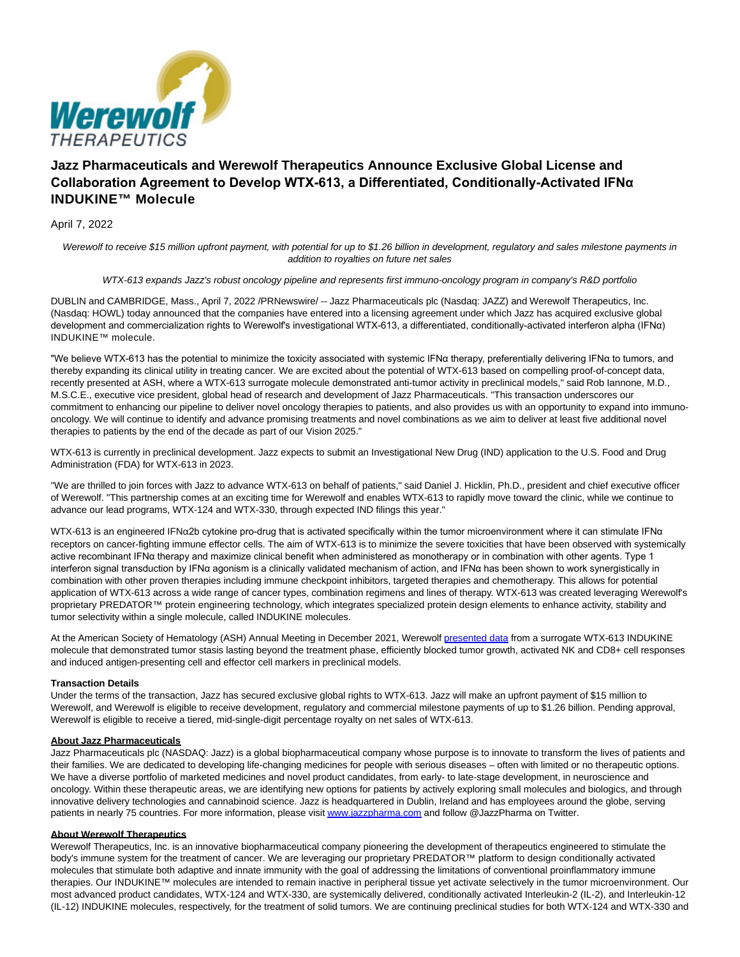

# **Jazz Pharmaceuticals and Werewolf Therapeutics Announce Exclusive Global License and Collaboration Agreement to Develop WTX-613, a Differentiated, Conditionally-Activated IFNα INDUKINE™ Molecule**

April 7, 2022

Werewolf to receive \$15 million upfront payment, with potential for up to \$1.26 billion in development, regulatory and sales milestone payments in addition to royalties on future net sales

## WTX-613 expands Jazz's robust oncology pipeline and represents first immuno-oncology program in company's R&D portfolio

DUBLIN and CAMBRIDGE, Mass., April 7, 2022 /PRNewswire/ -- Jazz Pharmaceuticals plc (Nasdaq: JAZZ) and Werewolf Therapeutics, Inc. (Nasdaq: HOWL) today announced that the companies have entered into a licensing agreement under which Jazz has acquired exclusive global development and commercialization rights to Werewolf's investigational WTX-613, a differentiated, conditionally-activated interferon alpha (IFNα) INDUKINE™ molecule.

"We believe WTX-613 has the potential to minimize the toxicity associated with systemic IFNα therapy, preferentially delivering IFNα to tumors, and thereby expanding its clinical utility in treating cancer. We are excited about the potential of WTX-613 based on compelling proof-of-concept data, recently presented at ASH, where a WTX-613 surrogate molecule demonstrated anti-tumor activity in preclinical models," said Rob Iannone, M.D., M.S.C.E., executive vice president, global head of research and development of Jazz Pharmaceuticals. "This transaction underscores our commitment to enhancing our pipeline to deliver novel oncology therapies to patients, and also provides us with an opportunity to expand into immunooncology. We will continue to identify and advance promising treatments and novel combinations as we aim to deliver at least five additional novel therapies to patients by the end of the decade as part of our Vision 2025."

WTX-613 is currently in preclinical development. Jazz expects to submit an Investigational New Drug (IND) application to the U.S. Food and Drug Administration (FDA) for WTX-613 in 2023.

"We are thrilled to join forces with Jazz to advance WTX-613 on behalf of patients," said Daniel J. Hicklin, Ph.D., president and chief executive officer of Werewolf. "This partnership comes at an exciting time for Werewolf and enables WTX-613 to rapidly move toward the clinic, while we continue to advance our lead programs, WTX-124 and WTX-330, through expected IND filings this year."

WTX-613 is an engineered IFNα2b cytokine pro-drug that is activated specifically within the tumor microenvironment where it can stimulate IFNα receptors on cancer-fighting immune effector cells. The aim of WTX-613 is to minimize the severe toxicities that have been observed with systemically active recombinant IFNα therapy and maximize clinical benefit when administered as monotherapy or in combination with other agents. Type 1 interferon signal transduction by IFNα agonism is a clinically validated mechanism of action, and IFNα has been shown to work synergistically in combination with other proven therapies including immune checkpoint inhibitors, targeted therapies and chemotherapy. This allows for potential application of WTX-613 across a wide range of cancer types, combination regimens and lines of therapy. WTX-613 was created leveraging Werewolf's proprietary PREDATOR™ protein engineering technology, which integrates specialized protein design elements to enhance activity, stability and tumor selectivity within a single molecule, called INDUKINE molecules.

At the American Society of Hematology (ASH) Annual Meeting in December 2021, Werewolf [presented data f](https://c212.net/c/link/?t=0&l=en&o=3497516-1&h=3955665294&u=https%3A%2F%2Finvestors.werewolftx.com%2Fstatic-files%2F05b8b332-83d0-4ef7-a6c7-2398bbba134c&a=presented+data)rom a surrogate WTX-613 INDUKINE molecule that demonstrated tumor stasis lasting beyond the treatment phase, efficiently blocked tumor growth, activated NK and CD8+ cell responses and induced antigen-presenting cell and effector cell markers in preclinical models.

## **Transaction Details**

Under the terms of the transaction, Jazz has secured exclusive global rights to WTX-613. Jazz will make an upfront payment of \$15 million to Werewolf, and Werewolf is eligible to receive development, regulatory and commercial milestone payments of up to \$1.26 billion. Pending approval, Werewolf is eligible to receive a tiered, mid-single-digit percentage royalty on net sales of WTX-613.

## **About Jazz Pharmaceuticals**

Jazz Pharmaceuticals plc (NASDAQ: Jazz) is a global biopharmaceutical company whose purpose is to innovate to transform the lives of patients and their families. We are dedicated to developing life-changing medicines for people with serious diseases – often with limited or no therapeutic options. We have a diverse portfolio of marketed medicines and novel product candidates, from early- to late-stage development, in neuroscience and oncology. Within these therapeutic areas, we are identifying new options for patients by actively exploring small molecules and biologics, and through innovative delivery technologies and cannabinoid science. Jazz is headquartered in Dublin, Ireland and has employees around the globe, serving patients in nearly 75 countries. For more information, please visi[t www.jazzpharma.com a](https://c212.net/c/link/?t=0&l=en&o=3497516-1&h=1882235532&u=http%3A%2F%2Fwww.jazzpharma.com%2F&a=www.jazzpharma.com)nd follow @JazzPharma on Twitter.

## **About Werewolf Therapeutics**

Werewolf Therapeutics, Inc. is an innovative biopharmaceutical company pioneering the development of therapeutics engineered to stimulate the body's immune system for the treatment of cancer. We are leveraging our proprietary PREDATOR™ platform to design conditionally activated molecules that stimulate both adaptive and innate immunity with the goal of addressing the limitations of conventional proinflammatory immune therapies. Our INDUKINE™ molecules are intended to remain inactive in peripheral tissue yet activate selectively in the tumor microenvironment. Our most advanced product candidates, WTX-124 and WTX-330, are systemically delivered, conditionally activated Interleukin-2 (IL-2), and Interleukin-12 (IL-12) INDUKINE molecules, respectively, for the treatment of solid tumors. We are continuing preclinical studies for both WTX-124 and WTX-330 and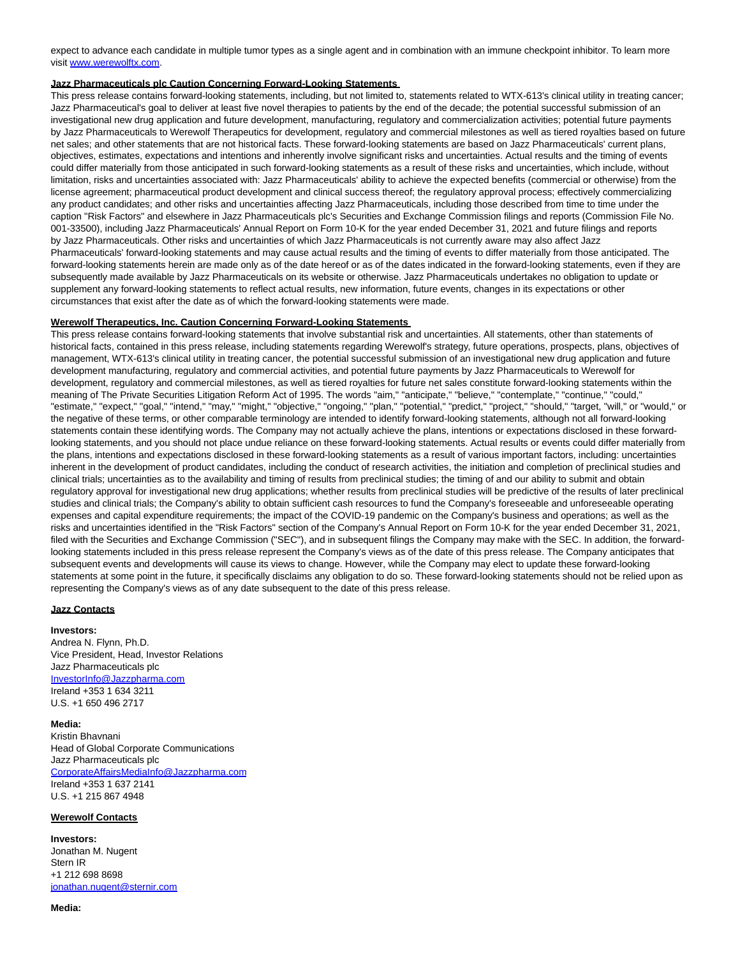expect to advance each candidate in multiple tumor types as a single agent and in combination with an immune checkpoint inhibitor. To learn more visit [www.werewolftx.com.](https://c212.net/c/link/?t=0&l=en&o=3497516-1&h=2299238873&u=http%3A%2F%2Fwww.werewolftx.com%2F&a=www.werewolftx.com) 

#### **Jazz Pharmaceuticals plc Caution Concerning Forward-Looking Statements**

This press release contains forward-looking statements, including, but not limited to, statements related to WTX-613's clinical utility in treating cancer; Jazz Pharmaceutical's goal to deliver at least five novel therapies to patients by the end of the decade; the potential successful submission of an investigational new drug application and future development, manufacturing, regulatory and commercialization activities; potential future payments by Jazz Pharmaceuticals to Werewolf Therapeutics for development, regulatory and commercial milestones as well as tiered royalties based on future net sales; and other statements that are not historical facts. These forward-looking statements are based on Jazz Pharmaceuticals' current plans, objectives, estimates, expectations and intentions and inherently involve significant risks and uncertainties. Actual results and the timing of events could differ materially from those anticipated in such forward-looking statements as a result of these risks and uncertainties, which include, without limitation, risks and uncertainties associated with: Jazz Pharmaceuticals' ability to achieve the expected benefits (commercial or otherwise) from the license agreement; pharmaceutical product development and clinical success thereof; the regulatory approval process; effectively commercializing any product candidates; and other risks and uncertainties affecting Jazz Pharmaceuticals, including those described from time to time under the caption "Risk Factors" and elsewhere in Jazz Pharmaceuticals plc's Securities and Exchange Commission filings and reports (Commission File No. 001-33500), including Jazz Pharmaceuticals' Annual Report on Form 10-K for the year ended December 31, 2021 and future filings and reports by Jazz Pharmaceuticals. Other risks and uncertainties of which Jazz Pharmaceuticals is not currently aware may also affect Jazz Pharmaceuticals' forward-looking statements and may cause actual results and the timing of events to differ materially from those anticipated. The forward-looking statements herein are made only as of the date hereof or as of the dates indicated in the forward-looking statements, even if they are subsequently made available by Jazz Pharmaceuticals on its website or otherwise. Jazz Pharmaceuticals undertakes no obligation to update or supplement any forward-looking statements to reflect actual results, new information, future events, changes in its expectations or other circumstances that exist after the date as of which the forward-looking statements were made.

#### **Werewolf Therapeutics, Inc. Caution Concerning Forward-Looking Statements**

This press release contains forward-looking statements that involve substantial risk and uncertainties. All statements, other than statements of historical facts, contained in this press release, including statements regarding Werewolf's strategy, future operations, prospects, plans, objectives of management, WTX-613's clinical utility in treating cancer, the potential successful submission of an investigational new drug application and future development manufacturing, regulatory and commercial activities, and potential future payments by Jazz Pharmaceuticals to Werewolf for development, regulatory and commercial milestones, as well as tiered royalties for future net sales constitute forward-looking statements within the meaning of The Private Securities Litigation Reform Act of 1995. The words "aim," "anticipate," "believe," "contemplate," "continue," "could," "estimate," "expect," "goal," "intend," "may," "might," "objective," "ongoing," "plan," "potential," "predict," "project," "should," "target, "will," or "would," or the negative of these terms, or other comparable terminology are intended to identify forward-looking statements, although not all forward-looking statements contain these identifying words. The Company may not actually achieve the plans, intentions or expectations disclosed in these forwardlooking statements, and you should not place undue reliance on these forward-looking statements. Actual results or events could differ materially from the plans, intentions and expectations disclosed in these forward-looking statements as a result of various important factors, including: uncertainties inherent in the development of product candidates, including the conduct of research activities, the initiation and completion of preclinical studies and clinical trials; uncertainties as to the availability and timing of results from preclinical studies; the timing of and our ability to submit and obtain regulatory approval for investigational new drug applications; whether results from preclinical studies will be predictive of the results of later preclinical studies and clinical trials; the Company's ability to obtain sufficient cash resources to fund the Company's foreseeable and unforeseeable operating expenses and capital expenditure requirements; the impact of the COVID-19 pandemic on the Company's business and operations; as well as the risks and uncertainties identified in the "Risk Factors" section of the Company's Annual Report on Form 10-K for the year ended December 31, 2021, filed with the Securities and Exchange Commission ("SEC"), and in subsequent filings the Company may make with the SEC. In addition, the forwardlooking statements included in this press release represent the Company's views as of the date of this press release. The Company anticipates that subsequent events and developments will cause its views to change. However, while the Company may elect to update these forward-looking statements at some point in the future, it specifically disclaims any obligation to do so. These forward-looking statements should not be relied upon as representing the Company's views as of any date subsequent to the date of this press release.

## **Jazz Contacts**

#### **Investors:**

Andrea N. Flynn, Ph.D. Vice President, Head, Investor Relations Jazz Pharmaceuticals plc [InvestorInfo@Jazzpharma.com](mailto:InvestorInfo@jazzpharma.com) Ireland +353 1 634 3211 U.S. +1 650 496 2717

### **Media:**

Kristin Bhavnani Head of Global Corporate Communications Jazz Pharmaceuticals plc [CorporateAffairsMediaInfo@Jazzpharma.com](mailto:CorporateAffairsMediaInfo@jazzpharma.com) Ireland +353 1 637 2141 U.S. +1 215 867 4948

## **Werewolf Contacts**

**Investors:** Jonathan M. Nugent Stern IR +1 212 698 8698 [jonathan.nugent@sternir.com](mailto:jonathan.nugent@sternir.com)